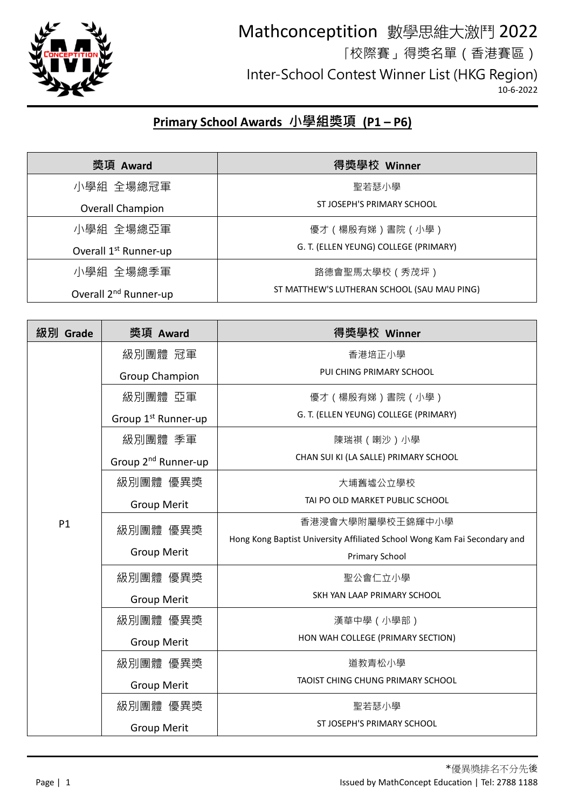

#### Mathconceptition 數學思維大激鬥 2022 「校際賽」得獎名單(香港賽區) Inter-School Contest Winner List (HKG Region) 10-6-2022

#### **Primary School Awards 小學組獎項 (P1 – P6)**

| 獎項 Award                          | 得獎學校 Winner                                 |
|-----------------------------------|---------------------------------------------|
| 小學組 全場總冠軍                         | 聖若瑟小學                                       |
| Overall Champion                  | ST JOSEPH'S PRIMARY SCHOOL                  |
| 小學組 全場總亞軍                         | 優才(楊殷有娣)書院(小學)                              |
| Overall 1 <sup>st</sup> Runner-up | G. T. (ELLEN YEUNG) COLLEGE (PRIMARY)       |
| 小學組 全場總季軍                         | 路德會聖馬太學校(秀茂坪)                               |
| Overall 2 <sup>nd</sup> Runner-up | ST MATTHEW'S LUTHERAN SCHOOL (SAU MAU PING) |

| 級別 Grade       | 獎項 Award                        | 得獎學校 Winner                                                               |
|----------------|---------------------------------|---------------------------------------------------------------------------|
|                | 級別團體 冠軍                         | 香港培正小學                                                                    |
|                | <b>Group Champion</b>           | PUI CHING PRIMARY SCHOOL                                                  |
|                | 級別團體 亞軍                         | 優才(楊殷有娣)書院(小學)                                                            |
|                | Group 1 <sup>st</sup> Runner-up | G. T. (ELLEN YEUNG) COLLEGE (PRIMARY)                                     |
|                | 級別團體 季軍                         | 陳瑞祺 (喇沙)小學                                                                |
|                | Group 2 <sup>nd</sup> Runner-up | CHAN SUI KI (LA SALLE) PRIMARY SCHOOL                                     |
|                | 級別團體 優異獎                        | 大埔舊墟公立學校                                                                  |
|                | <b>Group Merit</b>              | TAI PO OLD MARKET PUBLIC SCHOOL                                           |
| P <sub>1</sub> | 級別團體 優異獎                        | 香港浸會大學附屬學校王錦輝中小學                                                          |
|                |                                 | Hong Kong Baptist University Affiliated School Wong Kam Fai Secondary and |
|                | <b>Group Merit</b>              | Primary School                                                            |
|                | 級別團體 優異獎                        | 聖公會仁立小學                                                                   |
|                | <b>Group Merit</b>              | SKH YAN LAAP PRIMARY SCHOOL                                               |
|                | 級別團體 優異獎                        | 漢華中學 (小學部)                                                                |
|                | <b>Group Merit</b>              | HON WAH COLLEGE (PRIMARY SECTION)                                         |
|                | 級別團體 優異獎                        | 道教青松小學                                                                    |
|                | <b>Group Merit</b>              | TAOIST CHING CHUNG PRIMARY SCHOOL                                         |
|                | 級別團體 優異獎                        | 聖若瑟小學                                                                     |
|                | <b>Group Merit</b>              | ST JOSEPH'S PRIMARY SCHOOL                                                |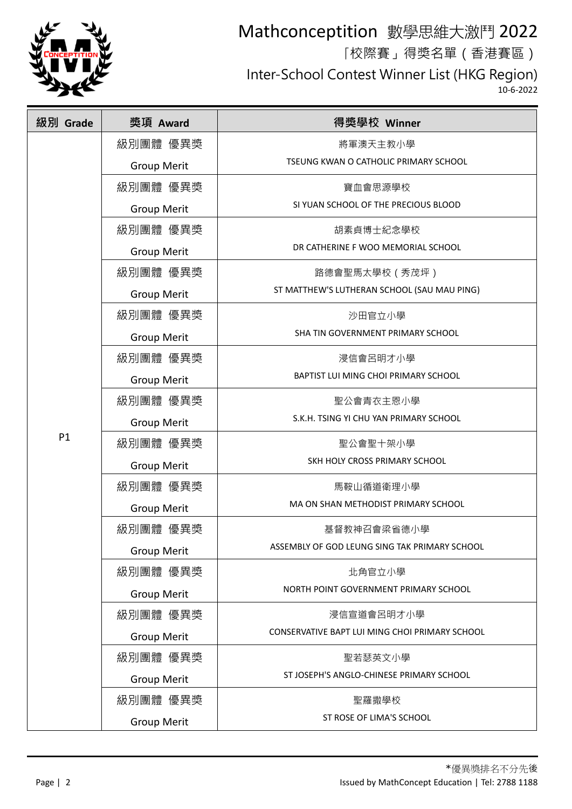

「校際賽」得獎名單(香港賽區)

Inter-School Contest Winner List (HKG Region)

| 級別 Grade | 獎項 Award           | 得獎學校 Winner                                    |
|----------|--------------------|------------------------------------------------|
|          | 級別團體 優異獎           | 將軍澳天主教小學                                       |
|          | <b>Group Merit</b> | TSEUNG KWAN O CATHOLIC PRIMARY SCHOOL          |
|          | 級別團體 優異獎           | 寶血會思源學校                                        |
|          | <b>Group Merit</b> | SI YUAN SCHOOL OF THE PRECIOUS BLOOD           |
|          | 級別團體 優異獎           | 胡素貞博士紀念學校                                      |
|          | <b>Group Merit</b> | DR CATHERINE F WOO MEMORIAL SCHOOL             |
|          | 級別團體 優異獎           | 路德會聖馬太學校(秀茂坪)                                  |
|          | <b>Group Merit</b> | ST MATTHEW'S LUTHERAN SCHOOL (SAU MAU PING)    |
|          | 級別團體 優異獎           | 沙田官立小學                                         |
|          | <b>Group Merit</b> | SHA TIN GOVERNMENT PRIMARY SCHOOL              |
|          | 級別團體 優異獎           | 浸信會呂明才小學                                       |
|          | <b>Group Merit</b> | BAPTIST LUI MING CHOI PRIMARY SCHOOL           |
|          | 級別團體 優異獎           | 聖公會青衣主恩小學                                      |
|          | <b>Group Merit</b> | S.K.H. TSING YI CHU YAN PRIMARY SCHOOL         |
| P1       | 級別團體 優異獎           | 聖公會聖十架小學                                       |
|          | <b>Group Merit</b> | SKH HOLY CROSS PRIMARY SCHOOL                  |
|          | 級別團體 優異獎           | 馬鞍山循道衛理小學                                      |
|          | <b>Group Merit</b> | MA ON SHAN METHODIST PRIMARY SCHOOL            |
|          | 級別團體 優異獎           | 基督教神召會梁省德小學                                    |
|          | <b>Group Merit</b> | ASSEMBLY OF GOD LEUNG SING TAK PRIMARY SCHOOL  |
|          | 級別團體 優異獎           | 北角官立小學                                         |
|          | <b>Group Merit</b> | NORTH POINT GOVERNMENT PRIMARY SCHOOL          |
|          | 級別團體 優異獎           | 浸信宣道會呂明才小學                                     |
|          | <b>Group Merit</b> | CONSERVATIVE BAPT LUI MING CHOI PRIMARY SCHOOL |
|          | 級別團體 優異獎           | 聖若瑟英文小學                                        |
|          | <b>Group Merit</b> | ST JOSEPH'S ANGLO-CHINESE PRIMARY SCHOOL       |
|          | 級別團體 優異獎           | 聖羅撒學校                                          |
|          | <b>Group Merit</b> | ST ROSE OF LIMA'S SCHOOL                       |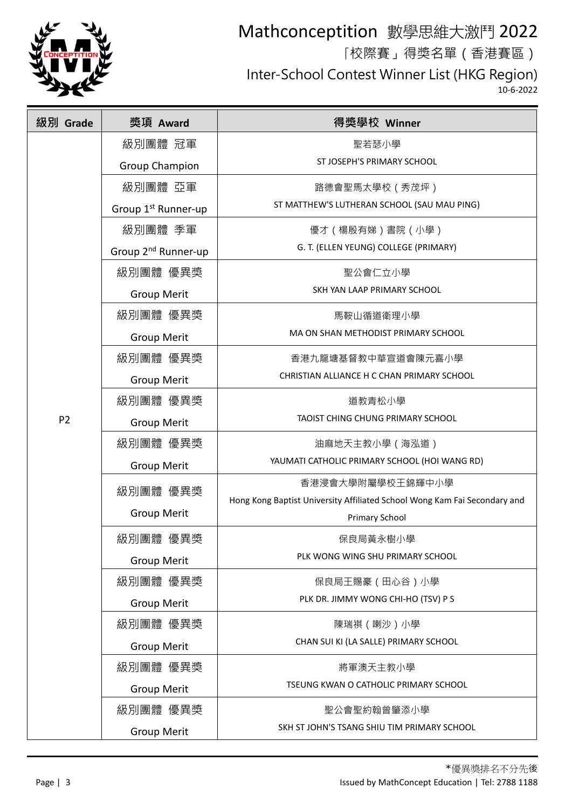

「校際賽」得獎名單(香港賽區)

Inter-School Contest Winner List (HKG Region)

| 級別 Grade       | 獎項 Award                        | 得獎學校 Winner                                                               |
|----------------|---------------------------------|---------------------------------------------------------------------------|
|                | 級別團體 冠軍                         | 聖若瑟小學                                                                     |
|                | <b>Group Champion</b>           | ST JOSEPH'S PRIMARY SCHOOL                                                |
|                | 級別團體 亞軍                         | 路德會聖馬太學校 (秀茂坪)                                                            |
|                | Group 1 <sup>st</sup> Runner-up | ST MATTHEW'S LUTHERAN SCHOOL (SAU MAU PING)                               |
|                | 級別團體 季軍                         | 優才(楊殷有娣)書院(小學)                                                            |
|                | Group 2 <sup>nd</sup> Runner-up | G. T. (ELLEN YEUNG) COLLEGE (PRIMARY)                                     |
|                | 級別團體 優異獎                        | 聖公會仁立小學                                                                   |
|                | <b>Group Merit</b>              | SKH YAN LAAP PRIMARY SCHOOL                                               |
|                | 級別團體 優異獎                        | 馬鞍山循道衛理小學                                                                 |
|                | <b>Group Merit</b>              | MA ON SHAN METHODIST PRIMARY SCHOOL                                       |
|                | 級別團體 優異獎                        | 香港九龍塘基督教中華宣道會陳元喜小學                                                        |
|                | <b>Group Merit</b>              | CHRISTIAN ALLIANCE H C CHAN PRIMARY SCHOOL                                |
|                | 級別團體 優異獎                        | 道教青松小學                                                                    |
| P <sub>2</sub> | <b>Group Merit</b>              | TAOIST CHING CHUNG PRIMARY SCHOOL                                         |
|                | 級別團體 優異獎                        | 油麻地天主教小學(海泓道)                                                             |
|                | <b>Group Merit</b>              | YAUMATI CATHOLIC PRIMARY SCHOOL (HOI WANG RD)                             |
|                | 級別團體 優異獎                        | 香港浸會大學附屬學校王錦輝中小學                                                          |
|                | <b>Group Merit</b>              | Hong Kong Baptist University Affiliated School Wong Kam Fai Secondary and |
|                |                                 | Primary School                                                            |
|                | 級別團體 優異獎                        | 保良局黃永樹小學<br>PLK WONG WING SHU PRIMARY SCHOOL                              |
|                | <b>Group Merit</b>              |                                                                           |
|                | 級別團體 優異獎                        | 保良局王賜豪(田心谷)小學<br>PLK DR. JIMMY WONG CHI-HO (TSV) P S                      |
|                | <b>Group Merit</b>              |                                                                           |
|                | 級別團體 優異獎                        | 陳瑞祺 (喇沙)小學<br>CHAN SUI KI (LA SALLE) PRIMARY SCHOOL                       |
|                | <b>Group Merit</b>              |                                                                           |
|                | 級別團體 優異獎                        | 將軍澳天主教小學<br>TSEUNG KWAN O CATHOLIC PRIMARY SCHOOL                         |
|                | <b>Group Merit</b>              |                                                                           |
|                | 級別團體 優異獎                        | 聖公會聖約翰曾肇添小學                                                               |
|                | <b>Group Merit</b>              | SKH ST JOHN'S TSANG SHIU TIM PRIMARY SCHOOL                               |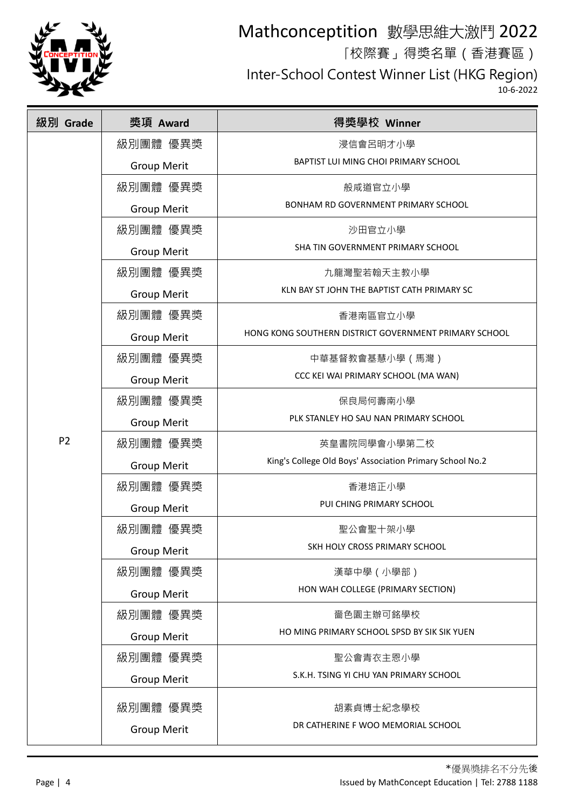

「校際賽」得獎名單(香港賽區)

Inter-School Contest Winner List (HKG Region)

| 級別 Grade       | 獎項 Award           | 得獎學校 Winner                                              |
|----------------|--------------------|----------------------------------------------------------|
|                | 級別團體 優異獎           | 浸信會呂明才小學                                                 |
|                | <b>Group Merit</b> | BAPTIST LUI MING CHOI PRIMARY SCHOOL                     |
|                | 級別團體 優異獎           | 般咸道官立小學                                                  |
|                | <b>Group Merit</b> | BONHAM RD GOVERNMENT PRIMARY SCHOOL                      |
|                | 級別團體 優異獎           | 沙田官立小學                                                   |
|                | <b>Group Merit</b> | SHA TIN GOVERNMENT PRIMARY SCHOOL                        |
|                | 級別團體 優異獎           | 九龍灣聖若翰天主教小學                                              |
|                | <b>Group Merit</b> | KLN BAY ST JOHN THE BAPTIST CATH PRIMARY SC              |
|                | 級別團體 優異獎           | 香港南區官立小學                                                 |
|                | <b>Group Merit</b> | HONG KONG SOUTHERN DISTRICT GOVERNMENT PRIMARY SCHOOL    |
|                | 級別團體 優異獎           | 中華基督教會基慧小學(馬灣)                                           |
|                | <b>Group Merit</b> | CCC KEI WAI PRIMARY SCHOOL (MA WAN)                      |
|                | 級別團體 優異獎           | 保良局何壽南小學                                                 |
| P <sub>2</sub> | <b>Group Merit</b> | PLK STANLEY HO SAU NAN PRIMARY SCHOOL                    |
|                | 級別團體 優異獎           | 英皇書院同學會小學第二校                                             |
|                | <b>Group Merit</b> | King's College Old Boys' Association Primary School No.2 |
|                | 級別團體 優異獎           | 香港培正小學                                                   |
|                | <b>Group Merit</b> | PUI CHING PRIMARY SCHOOL                                 |
|                | 級別團體 優異獎           | 聖公會聖十架小學                                                 |
|                | <b>Group Merit</b> | SKH HOLY CROSS PRIMARY SCHOOL                            |
|                | 級別團體 優異獎           | 漢華中學 (小學部)                                               |
|                | <b>Group Merit</b> | HON WAH COLLEGE (PRIMARY SECTION)                        |
|                | 級別團體 優異獎           | 嗇色園主辦可銘學校                                                |
|                | <b>Group Merit</b> | HO MING PRIMARY SCHOOL SPSD BY SIK SIK YUEN              |
|                | 級別團體 優異獎           | 聖公會青衣主恩小學                                                |
|                | <b>Group Merit</b> | S.K.H. TSING YI CHU YAN PRIMARY SCHOOL                   |
|                | 級別團體 優異獎           | 胡素貞博士紀念學校                                                |
|                | <b>Group Merit</b> | DR CATHERINE F WOO MEMORIAL SCHOOL                       |
|                |                    |                                                          |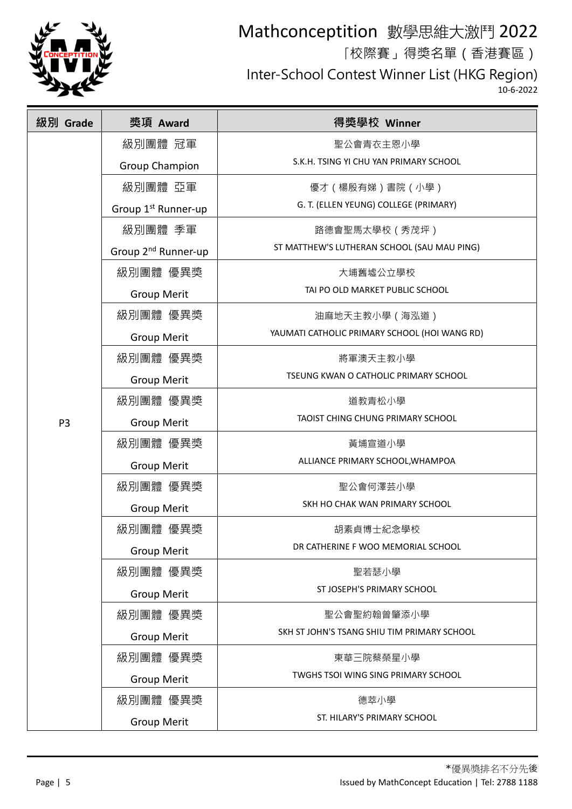

「校際賽」得獎名單(香港賽區)

Inter-School Contest Winner List (HKG Region)

| 級別 Grade       | 獎項 Award                        | 得獎學校 Winner                                   |
|----------------|---------------------------------|-----------------------------------------------|
|                | 級別團體 冠軍                         | 聖公會青衣主恩小學                                     |
|                | <b>Group Champion</b>           | S.K.H. TSING YI CHU YAN PRIMARY SCHOOL        |
|                | 級別團體 亞軍                         | 優才(楊殷有娣)書院(小學)                                |
|                | Group 1 <sup>st</sup> Runner-up | G. T. (ELLEN YEUNG) COLLEGE (PRIMARY)         |
|                | 級別團體 季軍                         | 路德會聖馬太學校(秀茂坪)                                 |
|                | Group 2 <sup>nd</sup> Runner-up | ST MATTHEW'S LUTHERAN SCHOOL (SAU MAU PING)   |
|                | 級別團體 優異獎                        | 大埔舊墟公立學校                                      |
|                | <b>Group Merit</b>              | TAI PO OLD MARKET PUBLIC SCHOOL               |
|                | 級別團體 優異獎                        | 油麻地天主教小學(海泓道)                                 |
|                | <b>Group Merit</b>              | YAUMATI CATHOLIC PRIMARY SCHOOL (HOI WANG RD) |
|                | 級別團體 優異獎                        | 將軍澳天主教小學                                      |
|                | <b>Group Merit</b>              | TSEUNG KWAN O CATHOLIC PRIMARY SCHOOL         |
|                | 級別團體 優異獎                        | 道教青松小學                                        |
| P <sub>3</sub> | <b>Group Merit</b>              | TAOIST CHING CHUNG PRIMARY SCHOOL             |
|                | 級別團體 優異獎                        | 黃埔宣道小學                                        |
|                | <b>Group Merit</b>              | ALLIANCE PRIMARY SCHOOL, WHAMPOA              |
|                | 級別團體 優異獎                        | 聖公會何澤芸小學                                      |
|                | <b>Group Merit</b>              | SKH HO CHAK WAN PRIMARY SCHOOL                |
|                | 級別團體 優異獎                        | 胡素貞博士紀念學校                                     |
|                | <b>Group Merit</b>              | DR CATHERINE F WOO MEMORIAL SCHOOL            |
|                | 級別團體 優異獎                        | 聖若瑟小學                                         |
|                | <b>Group Merit</b>              | ST JOSEPH'S PRIMARY SCHOOL                    |
|                | 級別團體 優異獎                        | 聖公會聖約翰曾肇添小學                                   |
|                | <b>Group Merit</b>              | SKH ST JOHN'S TSANG SHIU TIM PRIMARY SCHOOL   |
|                | 級別團體 優異獎                        | 東華三院蔡榮星小學                                     |
|                | <b>Group Merit</b>              | TWGHS TSOI WING SING PRIMARY SCHOOL           |
|                | 級別團體 優異獎                        | 德萃小學                                          |
|                | <b>Group Merit</b>              | ST. HILARY'S PRIMARY SCHOOL                   |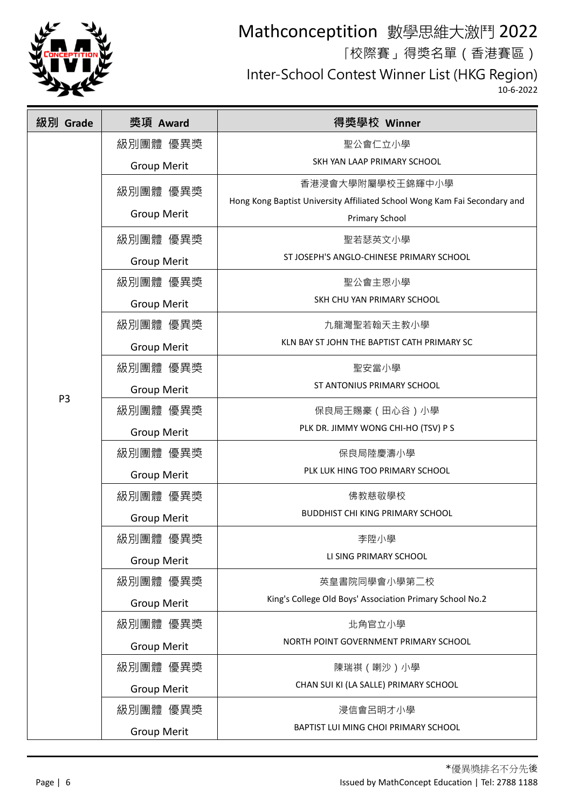

「校際賽」得獎名單(香港賽區)

Inter-School Contest Winner List (HKG Region)

| 級別 Grade       | 獎項 Award           | 得獎學校 Winner                                                               |
|----------------|--------------------|---------------------------------------------------------------------------|
|                | 級別團體 優異獎           | 聖公會仁立小學                                                                   |
|                | <b>Group Merit</b> | SKH YAN LAAP PRIMARY SCHOOL                                               |
|                | 級別團體 優異獎           | 香港浸會大學附屬學校王錦輝中小學                                                          |
|                | <b>Group Merit</b> | Hong Kong Baptist University Affiliated School Wong Kam Fai Secondary and |
|                |                    | Primary School                                                            |
|                | 級別團體 優異獎           | 聖若瑟英文小學                                                                   |
|                | <b>Group Merit</b> | ST JOSEPH'S ANGLO-CHINESE PRIMARY SCHOOL                                  |
|                | 級別團體 優異獎           | 聖公會主恩小學                                                                   |
|                | <b>Group Merit</b> | SKH CHU YAN PRIMARY SCHOOL                                                |
|                | 級別團體 優異獎           | 九龍灣聖若翰天主教小學                                                               |
|                | <b>Group Merit</b> | KLN BAY ST JOHN THE BAPTIST CATH PRIMARY SC                               |
|                | 級別團體 優異獎           | 聖安當小學                                                                     |
|                | <b>Group Merit</b> | ST ANTONIUS PRIMARY SCHOOL                                                |
| P <sub>3</sub> | 級別團體 優異獎           | 保良局王賜豪(田心谷)小學                                                             |
|                | <b>Group Merit</b> | PLK DR. JIMMY WONG CHI-HO (TSV) P S                                       |
|                | 級別團體 優異獎           | 保良局陸慶濤小學                                                                  |
|                | <b>Group Merit</b> | PLK LUK HING TOO PRIMARY SCHOOL                                           |
|                | 級別團體 優異獎           | 佛教慈敬學校                                                                    |
|                | <b>Group Merit</b> | <b>BUDDHIST CHI KING PRIMARY SCHOOL</b>                                   |
|                | 級別團體 優異獎           | 李陞小學                                                                      |
|                | <b>Group Merit</b> | LI SING PRIMARY SCHOOL                                                    |
|                | 級別團體 優異獎           | 英皇書院同學會小學第二校                                                              |
|                | <b>Group Merit</b> | King's College Old Boys' Association Primary School No.2                  |
|                | 級別團體 優異獎           | 北角官立小學                                                                    |
|                | <b>Group Merit</b> | NORTH POINT GOVERNMENT PRIMARY SCHOOL                                     |
|                | 級別團體 優異獎           | 陳瑞祺 (喇沙)小學                                                                |
|                | <b>Group Merit</b> | CHAN SUI KI (LA SALLE) PRIMARY SCHOOL                                     |
|                | 級別團體 優異獎           | 浸信會呂明才小學                                                                  |
|                | <b>Group Merit</b> | BAPTIST LUI MING CHOI PRIMARY SCHOOL                                      |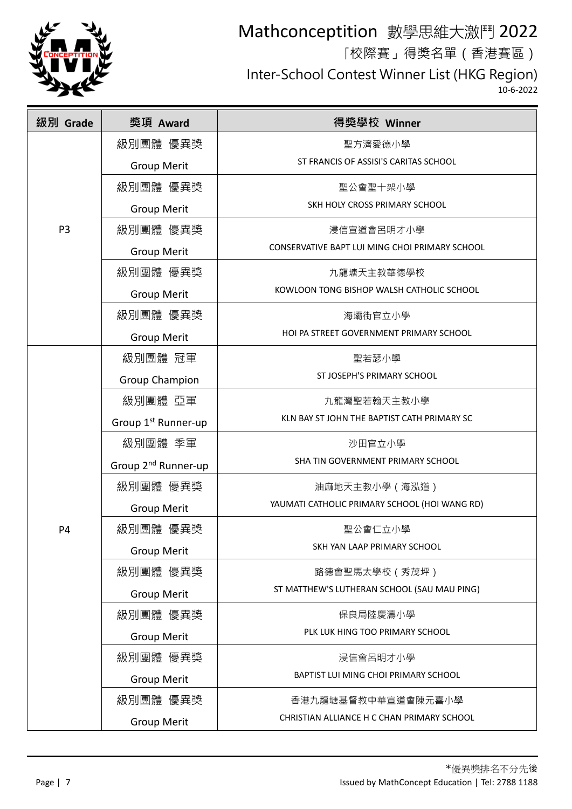

「校際賽」得獎名單(香港賽區)

Inter-School Contest Winner List (HKG Region)

| 級別 Grade       | 獎項 Award                        | 得獎學校 Winner                                    |
|----------------|---------------------------------|------------------------------------------------|
|                | 級別團體 優異獎                        | 聖方濟愛德小學                                        |
|                | <b>Group Merit</b>              | ST FRANCIS OF ASSISI'S CARITAS SCHOOL          |
|                | 級別團體 優異獎                        | 聖公會聖十架小學                                       |
|                | <b>Group Merit</b>              | SKH HOLY CROSS PRIMARY SCHOOL                  |
| P <sub>3</sub> | 級別團體 優異獎                        | 浸信宣道會呂明才小學                                     |
|                | <b>Group Merit</b>              | CONSERVATIVE BAPT LUI MING CHOI PRIMARY SCHOOL |
|                | 級別團體 優異獎                        | 九龍塘天主教華德學校                                     |
|                | <b>Group Merit</b>              | KOWLOON TONG BISHOP WALSH CATHOLIC SCHOOL      |
|                | 級別團體 優異獎                        | 海壩街官立小學                                        |
|                | <b>Group Merit</b>              | HOI PA STREET GOVERNMENT PRIMARY SCHOOL        |
|                | 級別團體 冠軍                         | 聖若瑟小學                                          |
|                | Group Champion                  | ST JOSEPH'S PRIMARY SCHOOL                     |
|                | 級別團體 亞軍                         | 九龍灣聖若翰天主教小學                                    |
|                | Group 1 <sup>st</sup> Runner-up | KLN BAY ST JOHN THE BAPTIST CATH PRIMARY SC    |
|                | 級別團體 季軍                         | 沙田官立小學                                         |
|                | Group 2 <sup>nd</sup> Runner-up | SHA TIN GOVERNMENT PRIMARY SCHOOL              |
|                | 級別團體 優異獎                        | 油麻地天主教小學 (海泓道)                                 |
|                | <b>Group Merit</b>              | YAUMATI CATHOLIC PRIMARY SCHOOL (HOI WANG RD)  |
| P <sub>4</sub> | 級別團體 優異獎                        | 聖公會仁立小學                                        |
|                | <b>Group Merit</b>              | SKH YAN LAAP PRIMARY SCHOOL                    |
|                | 級別團體 優異獎                        | 路德會聖馬太學校 (秀茂坪)                                 |
|                | <b>Group Merit</b>              | ST MATTHEW'S LUTHERAN SCHOOL (SAU MAU PING)    |
|                | 級別團體 優異獎                        | 保良局陸慶濤小學                                       |
|                | <b>Group Merit</b>              | PLK LUK HING TOO PRIMARY SCHOOL                |
|                | 級別團體 優異獎                        | 浸信會呂明才小學                                       |
|                | <b>Group Merit</b>              | BAPTIST LUI MING CHOI PRIMARY SCHOOL           |
|                | 級別團體 優異獎                        | 香港九龍塘基督教中華宣道會陳元喜小學                             |
|                | <b>Group Merit</b>              | CHRISTIAN ALLIANCE H C CHAN PRIMARY SCHOOL     |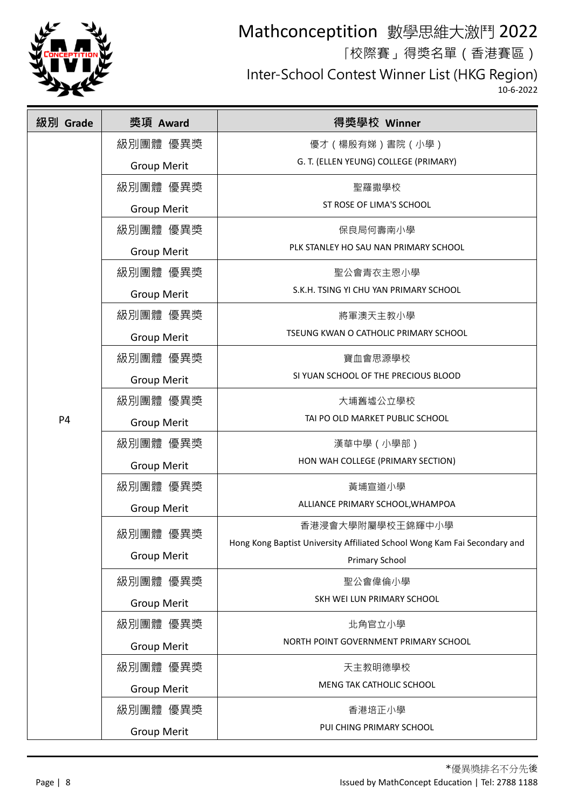

「校際賽」得獎名單(香港賽區)

Inter-School Contest Winner List (HKG Region)

| 級別 Grade       | 獎項 Award           | 得獎學校 Winner                                                               |
|----------------|--------------------|---------------------------------------------------------------------------|
|                | 級別團體 優異獎           | 優才 ( 楊殷有娣 ) 書院 ( 小學 )                                                     |
|                | <b>Group Merit</b> | G. T. (ELLEN YEUNG) COLLEGE (PRIMARY)                                     |
|                | 級別團體 優異獎           | 聖羅撒學校                                                                     |
|                | <b>Group Merit</b> | ST ROSE OF LIMA'S SCHOOL                                                  |
|                | 級別團體 優異獎           | 保良局何壽南小學                                                                  |
|                | <b>Group Merit</b> | PLK STANLEY HO SAU NAN PRIMARY SCHOOL                                     |
|                | 級別團體 優異獎           | 聖公會青衣主恩小學                                                                 |
|                | <b>Group Merit</b> | S.K.H. TSING YI CHU YAN PRIMARY SCHOOL                                    |
|                | 級別團體 優異獎           | 將軍澳天主教小學                                                                  |
|                | <b>Group Merit</b> | TSEUNG KWAN O CATHOLIC PRIMARY SCHOOL                                     |
|                | 級別團體 優異獎           | 寶血會思源學校                                                                   |
|                | <b>Group Merit</b> | SI YUAN SCHOOL OF THE PRECIOUS BLOOD                                      |
|                | 級別團體 優異獎           | 大埔舊墟公立學校                                                                  |
| P <sub>4</sub> | <b>Group Merit</b> | TAI PO OLD MARKET PUBLIC SCHOOL                                           |
|                | 級別團體 優異獎           | 漢華中學 (小學部)                                                                |
|                | <b>Group Merit</b> | HON WAH COLLEGE (PRIMARY SECTION)                                         |
|                | 級別團體 優異獎           | 黃埔宣道小學                                                                    |
|                | <b>Group Merit</b> | ALLIANCE PRIMARY SCHOOL, WHAMPOA                                          |
|                | 級別團體 優異獎           | 香港浸會大學附屬學校王錦輝中小學                                                          |
|                |                    | Hong Kong Baptist University Affiliated School Wong Kam Fai Secondary and |
|                | <b>Group Merit</b> | <b>Primary School</b>                                                     |
|                | 級別團體 優異獎           | 聖公會偉倫小學                                                                   |
|                | <b>Group Merit</b> | SKH WEI LUN PRIMARY SCHOOL                                                |
|                | 級別團體 優異獎           | 北角官立小學                                                                    |
|                | <b>Group Merit</b> | NORTH POINT GOVERNMENT PRIMARY SCHOOL                                     |
|                | 級別團體 優異獎           | 天主教明德學校                                                                   |
|                | <b>Group Merit</b> | MENG TAK CATHOLIC SCHOOL                                                  |
|                | 級別團體 優異獎           | 香港培正小學                                                                    |
|                | <b>Group Merit</b> | PUI CHING PRIMARY SCHOOL                                                  |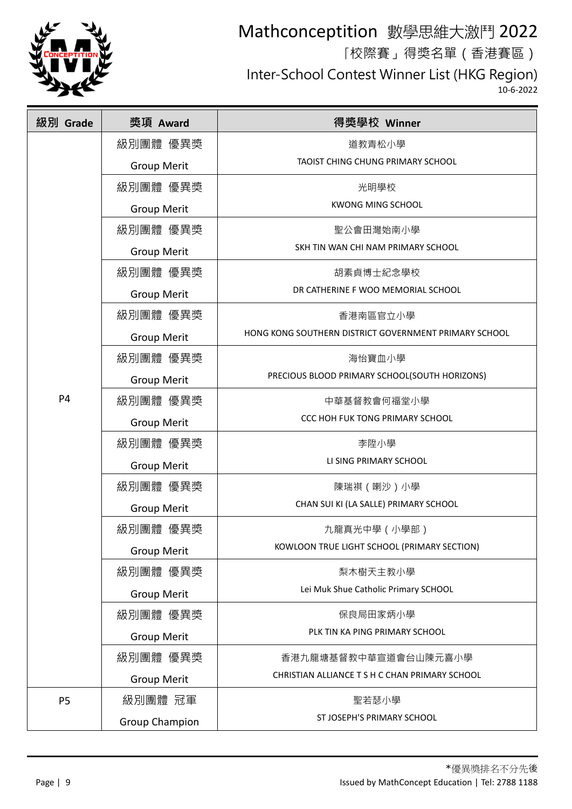

「校際賽」得獎名單(香港賽區)

Inter-School Contest Winner List (HKG Region)

| 級別 Grade       | 獎項 Award              | 得獎學校 Winner                                           |
|----------------|-----------------------|-------------------------------------------------------|
|                | 級別團體 優異獎              | 道教青松小學                                                |
|                | <b>Group Merit</b>    | TAOIST CHING CHUNG PRIMARY SCHOOL                     |
|                | 級別團體 優異獎              | 光明學校                                                  |
|                | <b>Group Merit</b>    | <b>KWONG MING SCHOOL</b>                              |
|                | 級別團體 優異獎              | 聖公會田灣始南小學                                             |
|                | <b>Group Merit</b>    | SKH TIN WAN CHI NAM PRIMARY SCHOOL                    |
|                | 級別團體 優異獎              | 胡素貞博士紀念學校                                             |
|                | <b>Group Merit</b>    | DR CATHERINE F WOO MEMORIAL SCHOOL                    |
|                | 級別團體 優異獎              | 香港南區官立小學                                              |
|                | <b>Group Merit</b>    | HONG KONG SOUTHERN DISTRICT GOVERNMENT PRIMARY SCHOOL |
|                | 級別團體 優異獎              | 海怡寶血小學                                                |
|                | <b>Group Merit</b>    | PRECIOUS BLOOD PRIMARY SCHOOL(SOUTH HORIZONS)         |
| P <sub>4</sub> | 級別團體 優異獎              | 中華基督教會何福堂小學                                           |
|                | <b>Group Merit</b>    | CCC HOH FUK TONG PRIMARY SCHOOL                       |
|                | 級別團體 優異獎              | 李陞小學                                                  |
|                | <b>Group Merit</b>    | LI SING PRIMARY SCHOOL                                |
|                | 級別團體 優異獎              | 陳瑞祺 (喇沙)小學                                            |
|                | <b>Group Merit</b>    | CHAN SUI KI (LA SALLE) PRIMARY SCHOOL                 |
|                | 級別團體 優異獎              | 九龍真光中學 (小學部)                                          |
|                | <b>Group Merit</b>    | KOWLOON TRUE LIGHT SCHOOL (PRIMARY SECTION)           |
|                | 級別團體 優異獎              | 梨木樹天主教小學                                              |
|                | <b>Group Merit</b>    | Lei Muk Shue Catholic Primary SCHOOL                  |
|                | 級別團體 優異獎              | 保良局田家炳小學                                              |
|                | <b>Group Merit</b>    | PLK TIN KA PING PRIMARY SCHOOL                        |
|                | 級別團體 優異獎              | 香港九龍塘基督教中華宣道會台山陳元喜小學                                  |
|                | <b>Group Merit</b>    | CHRISTIAN ALLIANCE T S H C CHAN PRIMARY SCHOOL        |
| P <sub>5</sub> | 級別團體 冠軍               | 聖若瑟小學                                                 |
|                | <b>Group Champion</b> | ST JOSEPH'S PRIMARY SCHOOL                            |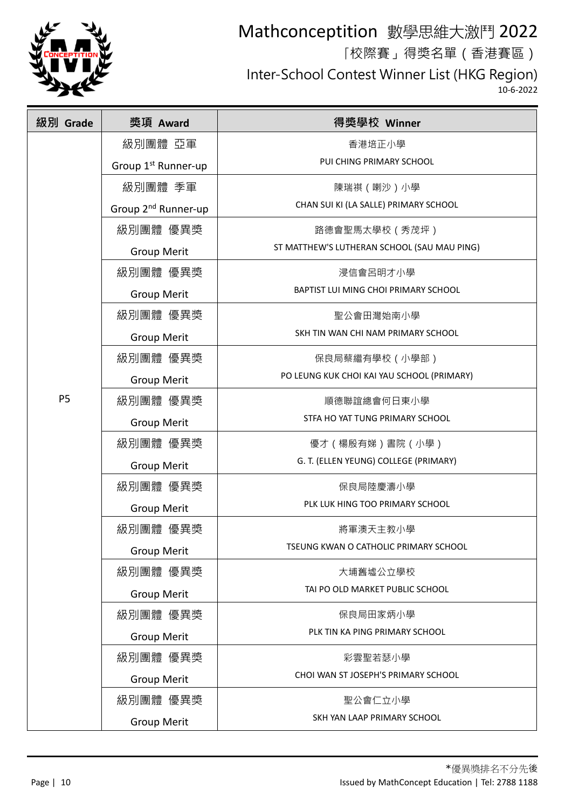

「校際賽」得獎名單(香港賽區)

Inter-School Contest Winner List (HKG Region)

| 級別 Grade       | 獎項 Award                        | 得獎學校 Winner                                 |
|----------------|---------------------------------|---------------------------------------------|
|                | 級別團體 亞軍                         | 香港培正小學                                      |
|                | Group 1 <sup>st</sup> Runner-up | PUI CHING PRIMARY SCHOOL                    |
|                | 級別團體 季軍                         | 陳瑞祺 (喇沙)小學                                  |
|                | Group 2 <sup>nd</sup> Runner-up | CHAN SUI KI (LA SALLE) PRIMARY SCHOOL       |
|                | 級別團體 優異獎                        | 路德會聖馬太學校(秀茂坪)                               |
|                | <b>Group Merit</b>              | ST MATTHEW'S LUTHERAN SCHOOL (SAU MAU PING) |
|                | 級別團體 優異獎                        | 浸信會呂明才小學                                    |
|                | <b>Group Merit</b>              | BAPTIST LUI MING CHOI PRIMARY SCHOOL        |
|                | 級別團體 優異獎                        | 聖公會田灣始南小學                                   |
|                | <b>Group Merit</b>              | SKH TIN WAN CHI NAM PRIMARY SCHOOL          |
|                | 級別團體 優異獎                        | 保良局蔡繼有學校(小學部)                               |
|                | <b>Group Merit</b>              | PO LEUNG KUK CHOI KAI YAU SCHOOL (PRIMARY)  |
| P <sub>5</sub> | 級別團體 優異獎                        | 順德聯誼總會何日東小學                                 |
|                | <b>Group Merit</b>              | STFA HO YAT TUNG PRIMARY SCHOOL             |
|                | 級別團體 優異獎                        | 優才(楊殷有娣)書院(小學)                              |
|                | <b>Group Merit</b>              | G. T. (ELLEN YEUNG) COLLEGE (PRIMARY)       |
|                | 級別團體 優異獎                        | 保良局陸慶濤小學                                    |
|                | <b>Group Merit</b>              | PLK LUK HING TOO PRIMARY SCHOOL             |
|                | 級別團體 優異獎                        | 將軍澳天主教小學                                    |
|                | <b>Group Merit</b>              | TSEUNG KWAN O CATHOLIC PRIMARY SCHOOL       |
|                | 級別團體 優異獎                        | 大埔舊墟公立學校                                    |
|                | <b>Group Merit</b>              | TAI PO OLD MARKET PUBLIC SCHOOL             |
|                | 級別團體 優異獎                        | 保良局田家炳小學                                    |
|                | <b>Group Merit</b>              | PLK TIN KA PING PRIMARY SCHOOL              |
|                | 級別團體 優異獎                        | 彩雲聖若瑟小學                                     |
|                | <b>Group Merit</b>              | CHOI WAN ST JOSEPH'S PRIMARY SCHOOL         |
|                | 級別團體 優異獎                        | 聖公會仁立小學                                     |
|                | <b>Group Merit</b>              | SKH YAN LAAP PRIMARY SCHOOL                 |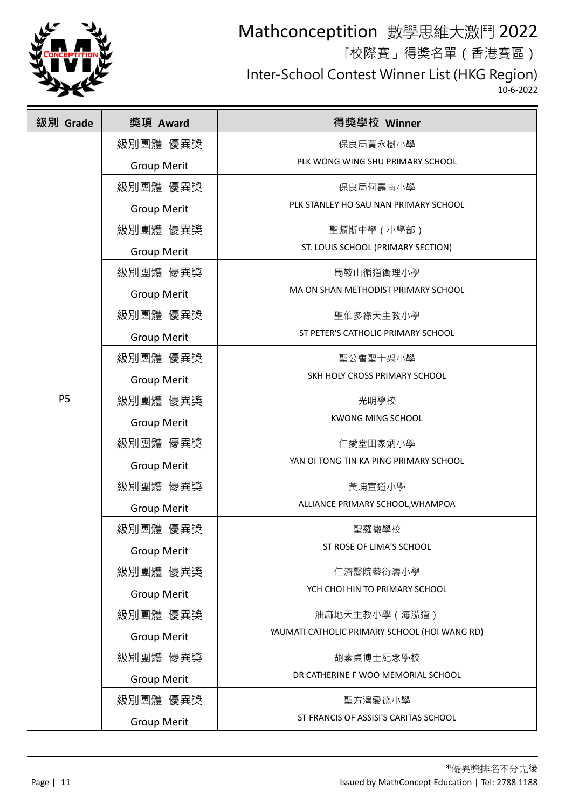

「校際賽」得獎名單(香港賽區)

Inter-School Contest Winner List (HKG Region)

| 級別 Grade  | 獎項 Award           | 得獎學校 Winner                                   |
|-----------|--------------------|-----------------------------------------------|
|           | 級別團體 優異獎           | 保良局黃永樹小學                                      |
|           | <b>Group Merit</b> | PLK WONG WING SHU PRIMARY SCHOOL              |
|           | 級別團體 優異獎           | 保良局何壽南小學                                      |
|           | <b>Group Merit</b> | PLK STANLEY HO SAU NAN PRIMARY SCHOOL         |
|           | 級別團體 優異獎           | 聖類斯中學 (小學部)                                   |
|           | <b>Group Merit</b> | ST. LOUIS SCHOOL (PRIMARY SECTION)            |
|           | 級別團體 優異獎           | 馬鞍山循道衛理小學                                     |
|           | <b>Group Merit</b> | MA ON SHAN METHODIST PRIMARY SCHOOL           |
|           | 級別團體 優異獎           | 聖伯多祿天主教小學                                     |
|           | <b>Group Merit</b> | ST PETER'S CATHOLIC PRIMARY SCHOOL            |
|           | 級別團體 優異獎           | 聖公會聖十架小學                                      |
|           | <b>Group Merit</b> | SKH HOLY CROSS PRIMARY SCHOOL                 |
| <b>P5</b> | 級別團體 優異獎           | 光明學校                                          |
|           | <b>Group Merit</b> | <b>KWONG MING SCHOOL</b>                      |
|           | 級別團體 優異獎           | 仁愛堂田家炳小學                                      |
|           | <b>Group Merit</b> | YAN OI TONG TIN KA PING PRIMARY SCHOOL        |
|           | 級別團體 優異獎           | 黃埔宣道小學                                        |
|           | <b>Group Merit</b> | ALLIANCE PRIMARY SCHOOL, WHAMPOA              |
|           | 級別團體 優異獎           | 聖羅撒學校                                         |
|           | <b>Group Merit</b> | ST ROSE OF LIMA'S SCHOOL                      |
|           | 級別團體 優異獎           | 仁濟醫院蔡衍濤小學                                     |
|           | <b>Group Merit</b> | YCH CHOI HIN TO PRIMARY SCHOOL                |
|           | 級別團體 優異獎           | 油麻地天主教小學(海泓道)                                 |
|           | <b>Group Merit</b> | YAUMATI CATHOLIC PRIMARY SCHOOL (HOI WANG RD) |
|           | 級別團體 優異獎           | 胡素貞博士紀念學校                                     |
|           | <b>Group Merit</b> | DR CATHERINE F WOO MEMORIAL SCHOOL            |
|           | 級別團體 優異獎           | 聖方濟愛德小學                                       |
|           | <b>Group Merit</b> | ST FRANCIS OF ASSISI'S CARITAS SCHOOL         |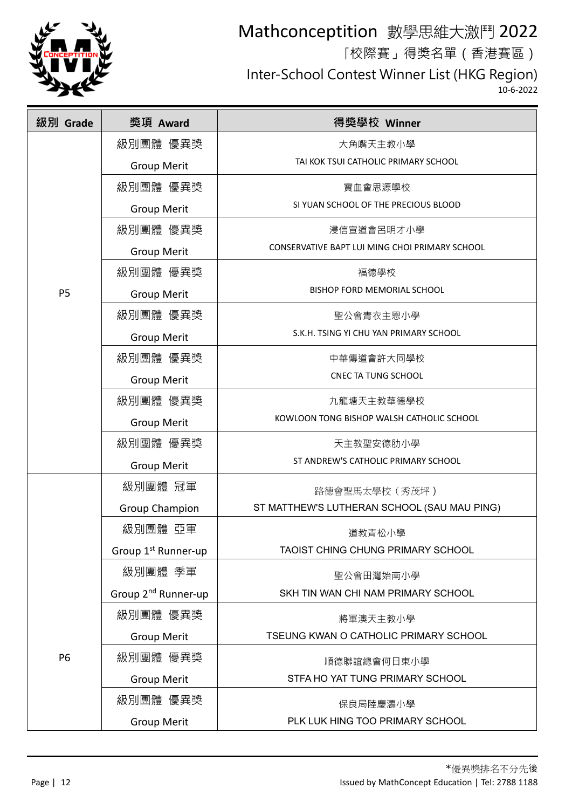

「校際賽」得獎名單(香港賽區)

Inter-School Contest Winner List (HKG Region)

| 級別 Grade  | 獎項 Award                        | 得獎學校 Winner                                    |
|-----------|---------------------------------|------------------------------------------------|
|           | 級別團體 優異獎                        | 大角嘴天主教小學                                       |
|           | <b>Group Merit</b>              | TAI KOK TSUI CATHOLIC PRIMARY SCHOOL           |
|           | 級別團體 優異獎                        | 寶血會思源學校                                        |
|           | <b>Group Merit</b>              | SI YUAN SCHOOL OF THE PRECIOUS BLOOD           |
|           | 級別團體 優異獎                        | 浸信宣道會呂明才小學                                     |
|           | <b>Group Merit</b>              | CONSERVATIVE BAPT LUI MING CHOI PRIMARY SCHOOL |
|           | 級別團體 優異獎                        | 福德學校                                           |
| <b>P5</b> | <b>Group Merit</b>              | BISHOP FORD MEMORIAL SCHOOL                    |
|           | 級別團體 優異獎                        | 聖公會青衣主恩小學                                      |
|           | <b>Group Merit</b>              | S.K.H. TSING YI CHU YAN PRIMARY SCHOOL         |
|           | 級別團體 優異獎                        | 中華傳道會許大同學校                                     |
|           | <b>Group Merit</b>              | <b>CNEC TA TUNG SCHOOL</b>                     |
|           | 級別團體 優異獎                        | 九龍塘天主教華德學校                                     |
|           | <b>Group Merit</b>              | KOWLOON TONG BISHOP WALSH CATHOLIC SCHOOL      |
|           | 級別團體 優異獎                        | 天主教聖安德肋小學                                      |
|           | <b>Group Merit</b>              | ST ANDREW'S CATHOLIC PRIMARY SCHOOL            |
|           | 級別團體 冠軍                         | 路德會聖馬太學校 (秀茂坪)                                 |
|           | <b>Group Champion</b>           | ST MATTHEW'S LUTHERAN SCHOOL (SAU MAU PING)    |
|           | 級別團體 亞軍                         | 道教青松小學                                         |
|           | Group 1 <sup>st</sup> Runner-up | TAOIST CHING CHUNG PRIMARY SCHOOL              |
|           | 級別團體 季軍                         | 聖公會田灣始南小學                                      |
|           | Group 2 <sup>nd</sup> Runner-up | SKH TIN WAN CHI NAM PRIMARY SCHOOL             |
|           | 級別團體 優異獎                        | 將軍澳天主教小學                                       |
|           | <b>Group Merit</b>              | TSEUNG KWAN O CATHOLIC PRIMARY SCHOOL          |
| P6        | 級別團體 優異獎                        | 順德聯誼總會何日東小學                                    |
|           | <b>Group Merit</b>              | STFA HO YAT TUNG PRIMARY SCHOOL                |
|           | 級別團體 優異獎                        | 保良局陸慶濤小學                                       |
|           | <b>Group Merit</b>              | PLK LUK HING TOO PRIMARY SCHOOL                |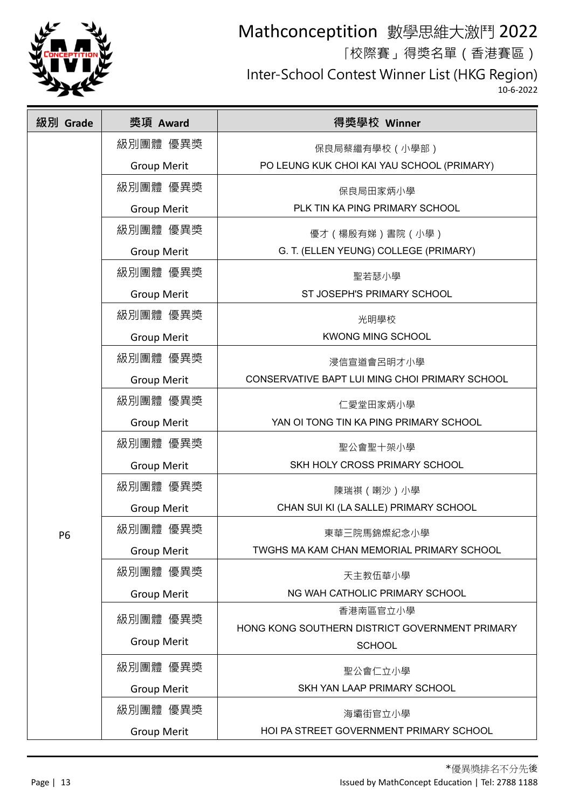

「校際賽」得獎名單(香港賽區)

Inter-School Contest Winner List (HKG Region)

| 級別 Grade  | 獎項 Award           | 得獎學校 Winner                                    |
|-----------|--------------------|------------------------------------------------|
|           | 級別團體 優異獎           | 保良局蔡繼有學校(小學部)                                  |
|           | <b>Group Merit</b> | PO LEUNG KUK CHOI KAI YAU SCHOOL (PRIMARY)     |
|           | 級別團體 優異獎           | 保良局田家炳小學                                       |
|           | <b>Group Merit</b> | PLK TIN KA PING PRIMARY SCHOOL                 |
|           | 級別團體 優異獎           | 優才(楊殷有娣)書院(小學)                                 |
|           | <b>Group Merit</b> | G. T. (ELLEN YEUNG) COLLEGE (PRIMARY)          |
|           | 級別團體 優異獎           | 聖若瑟小學                                          |
|           | <b>Group Merit</b> | ST JOSEPH'S PRIMARY SCHOOL                     |
|           | 級別團體 優異獎           | 光明學校                                           |
|           | <b>Group Merit</b> | <b>KWONG MING SCHOOL</b>                       |
|           | 級別團體 優異獎           | 浸信宣道會呂明才小學                                     |
|           | <b>Group Merit</b> | CONSERVATIVE BAPT LUI MING CHOI PRIMARY SCHOOL |
|           | 級別團體 優異獎           | 仁愛堂田家炳小學                                       |
|           | <b>Group Merit</b> | YAN OI TONG TIN KA PING PRIMARY SCHOOL         |
|           | 級別團體 優異獎           | 聖公會聖十架小學                                       |
|           | <b>Group Merit</b> | SKH HOLY CROSS PRIMARY SCHOOL                  |
|           | 級別團體 優異獎           | 陳瑞祺 (喇沙)小學                                     |
|           | <b>Group Merit</b> | CHAN SUI KI (LA SALLE) PRIMARY SCHOOL          |
| <b>P6</b> | 級別團體 優異獎           | 東華三院馬錦燦紀念小學                                    |
|           | <b>Group Merit</b> | TWGHS MA KAM CHAN MEMORIAL PRIMARY SCHOOL      |
|           | 級別團體 優異獎           | 天主教伍華小學                                        |
|           | <b>Group Merit</b> | NG WAH CATHOLIC PRIMARY SCHOOL                 |
|           | 級別團體 優異獎           | 香港南區官立小學                                       |
|           |                    | HONG KONG SOUTHERN DISTRICT GOVERNMENT PRIMARY |
|           | <b>Group Merit</b> | <b>SCHOOL</b>                                  |
|           | 級別團體 優異獎           | 聖公會仁立小學                                        |
|           | <b>Group Merit</b> | SKH YAN LAAP PRIMARY SCHOOL                    |
|           | 級別團體 優異獎           | 海壩街官立小學                                        |
|           | <b>Group Merit</b> | HOI PA STREET GOVERNMENT PRIMARY SCHOOL        |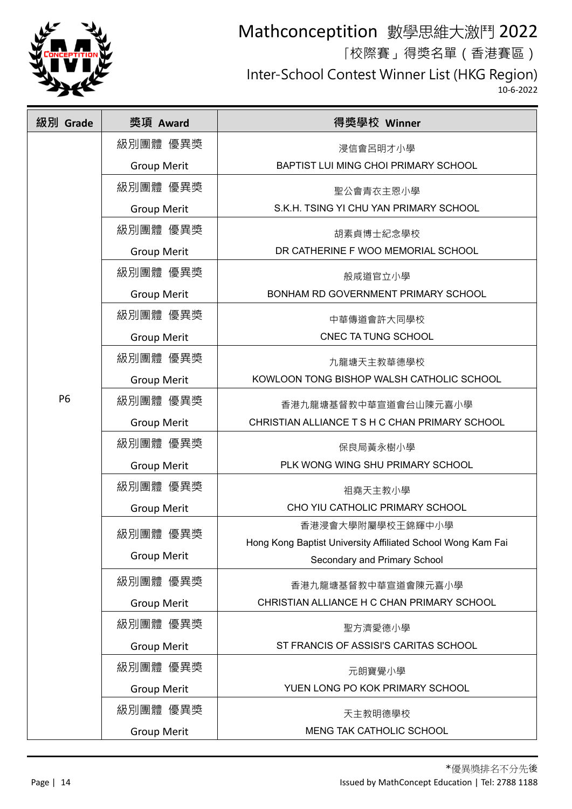

「校際賽」得獎名單(香港賽區)

Inter-School Contest Winner List (HKG Region)

| 級別 Grade  | 獎項 Award           | 得獎學校 Winner                                                 |
|-----------|--------------------|-------------------------------------------------------------|
|           | 級別團體 優異獎           | 浸信會呂明才小學                                                    |
|           | <b>Group Merit</b> | BAPTIST LUI MING CHOI PRIMARY SCHOOL                        |
|           | 級別團體 優異獎           | 聖公會青衣主恩小學                                                   |
|           | <b>Group Merit</b> | S.K.H. TSING YI CHU YAN PRIMARY SCHOOL                      |
|           | 級別團體 優異獎           | 胡素貞博士紀念學校                                                   |
|           | <b>Group Merit</b> | DR CATHERINE F WOO MEMORIAL SCHOOL                          |
|           | 級別團體 優異獎           | 般咸道官立小學                                                     |
|           | <b>Group Merit</b> | BONHAM RD GOVERNMENT PRIMARY SCHOOL                         |
|           | 級別團體 優異獎           | 中華傳道會許大同學校                                                  |
|           | <b>Group Merit</b> | CNEC TA TUNG SCHOOL                                         |
|           | 級別團體 優異獎           | 九龍塘天主教華德學校                                                  |
|           | <b>Group Merit</b> | KOWLOON TONG BISHOP WALSH CATHOLIC SCHOOL                   |
| <b>P6</b> | 級別團體 優異獎           | 香港九龍塘基督教中華宣道會台山陳元喜小學                                        |
|           | <b>Group Merit</b> | CHRISTIAN ALLIANCE T S H C CHAN PRIMARY SCHOOL              |
|           | 級別團體 優異獎           | 保良局黃永樹小學                                                    |
|           | <b>Group Merit</b> | PLK WONG WING SHU PRIMARY SCHOOL                            |
|           | 級別團體 優異獎           | 祖堯天主教小學                                                     |
|           | <b>Group Merit</b> | CHO YIU CATHOLIC PRIMARY SCHOOL                             |
|           | 級別團體 優異獎           | 香港浸會大學附屬學校王錦輝中小學                                            |
|           |                    | Hong Kong Baptist University Affiliated School Wong Kam Fai |
|           | <b>Group Merit</b> | Secondary and Primary School                                |
|           | 級別團體 優異獎           | 香港九龍塘基督教中華宣道會陳元喜小學                                          |
|           | <b>Group Merit</b> | CHRISTIAN ALLIANCE H C CHAN PRIMARY SCHOOL                  |
|           | 級別團體 優異獎           | 聖方濟愛德小學                                                     |
|           | <b>Group Merit</b> | ST FRANCIS OF ASSISI'S CARITAS SCHOOL                       |
|           | 級別團體 優異獎           | 元朗寶覺小學                                                      |
|           | <b>Group Merit</b> | YUEN LONG PO KOK PRIMARY SCHOOL                             |
|           | 級別團體 優異獎           | 天主教明德學校                                                     |
|           | <b>Group Merit</b> | MENG TAK CATHOLIC SCHOOL                                    |